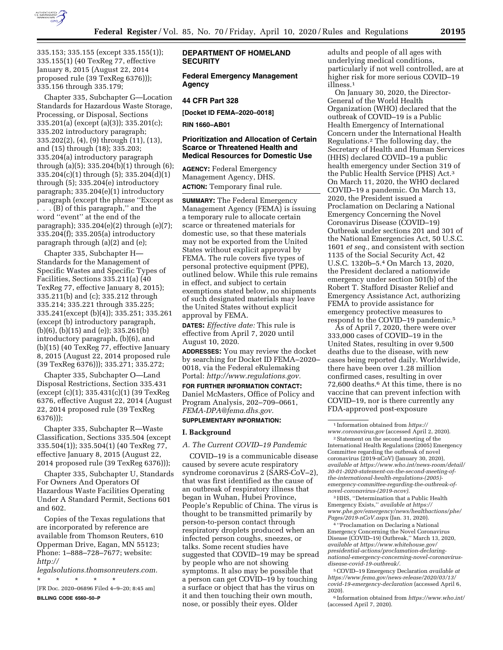

335.153; 335.155 (except 335.155(1)); 335.155(1) (40 TexReg 77, effective January 8, 2015 (August 22, 2014 proposed rule (39 TexReg 6376))); 335.156 through 335.179;

Chapter 335, Subchapter G—Location Standards for Hazardous Waste Storage, Processing, or Disposal, Sections 335.201(a) (except (a)(3)); 335.201(c); 335.202 introductory paragraph; 335.202(2), (4), (9) through (11), (13), and (15) through (18); 335.203; 335.204(a) introductory paragraph through (a)(5); 335.204(b)(1) through (6); 335.204(c)(1) through (5); 335.204(d)(1) through (5); 335.204(e) introductory paragraph; 335.204(e)(1) introductory paragraph (except the phrase ''Except as

. . . (B) of this paragraph,'' and the word ''event'' at the end of the paragraph); 335.204(e)(2) through (e)(7); 335.204(f); 335.205(a) introductory paragraph through (a)(2) and (e);

Chapter 335, Subchapter H— Standards for the Management of Specific Wastes and Specific Types of Facilities, Sections 335.211(a) (40 TexReg 77, effective January 8, 2015); 335.211(b) and (c); 335.212 through 335.214; 335.221 through 335.225; 335.241(except (b)(4)); 335.251; 335.261 (except (b) introductory paragraph, (b)(6), (b)(15) and (e)); 335.261(b) introductory paragraph, (b)(6), and (b)(15) (40 TexReg 77, effective January 8, 2015 (August 22, 2014 proposed rule (39 TexReg 6376))); 335.271; 335.272;

Chapter 335, Subchapter O—Land Disposal Restrictions, Section 335.431 (except (c)(1); 335.431(c)(1) (39 TexReg 6376, effective August 22, 2014 (August 22, 2014 proposed rule (39 TexReg 6376)));

Chapter 335, Subchapter R—Waste Classification, Sections 335.504 (except 335.504(1)); 335.504(1) (40 TexReg 77, effective January 8, 2015 (August 22, 2014 proposed rule (39 TexReg 6376)));

Chapter 335, Subchapter U, Standards For Owners And Operators Of Hazardous Waste Facilities Operating Under A Standard Permit, Sections 601 and 602.

Copies of the Texas regulations that are incorporated by reference are available from Thomson Reuters, 610 Opperman Drive, Eagan, MN 55123; Phone: 1–888–728–7677; website: *[http://](http://legalsolutions.thomsonreuters.com)*

*[legalsolutions.thomsonreuters.com.](http://legalsolutions.thomsonreuters.com)*  \* \* \* \* \*

[FR Doc. 2020–06896 Filed 4–9–20; 8:45 am]

**BILLING CODE 6560–50–P** 

## **DEPARTMENT OF HOMELAND SECURITY**

**Federal Emergency Management Agency** 

## **44 CFR Part 328**

**[Docket ID FEMA–2020–0018]** 

**RIN 1660–AB01** 

# **Prioritization and Allocation of Certain Scarce or Threatened Health and Medical Resources for Domestic Use**

**AGENCY:** Federal Emergency Management Agency, DHS. **ACTION:** Temporary final rule.

**SUMMARY:** The Federal Emergency Management Agency (FEMA) is issuing a temporary rule to allocate certain scarce or threatened materials for domestic use, so that these materials may not be exported from the United States without explicit approval by FEMA. The rule covers five types of personal protective equipment (PPE), outlined below. While this rule remains in effect, and subject to certain exemptions stated below, no shipments of such designated materials may leave the United States without explicit approval by FEMA.

**DATES:** *Effective date:* This rule is effective from April 7, 2020 until August 10, 2020.

**ADDRESSES:** You may review the docket by searching for Docket ID FEMA–2020– 0018, via the Federal eRulemaking Portal: *[http://www.regulations.gov.](http://www.regulations.gov)* 

**FOR FURTHER INFORMATION CONTACT:**  Daniel McMasters, Office of Policy and Program Analysis, 202–709–0661, *[FEMA-DPA@fema.dhs.gov.](mailto:FEMA-DPA@fema.dhs.gov)* 

# **SUPPLEMENTARY INFORMATION:**

#### **I. Background**

#### *A. The Current COVID–19 Pandemic*

COVID–19 is a communicable disease caused by severe acute respiratory syndrome coronavirus 2 (SARS-CoV–2), that was first identified as the cause of an outbreak of respiratory illness that began in Wuhan, Hubei Province, People's Republic of China. The virus is thought to be transmitted primarily by person-to-person contact through respiratory droplets produced when an infected person coughs, sneezes, or talks. Some recent studies have suggested that COVID–19 may be spread by people who are not showing symptoms. It also may be possible that a person can get COVID–19 by touching a surface or object that has the virus on it and then touching their own mouth, nose, or possibly their eyes. Older

adults and people of all ages with underlying medical conditions, particularly if not well controlled, are at higher risk for more serious COVID–19 illness.1

On January 30, 2020, the Director-General of the World Health Organization (WHO) declared that the outbreak of COVID–19 is a Public Health Emergency of International Concern under the International Health Regulations.2 The following day, the Secretary of Health and Human Services (HHS) declared COVID–19 a public health emergency under Section 319 of the Public Health Service (PHS) Act.3 On March 11, 2020, the WHO declared COVID–19 a pandemic. On March 13, 2020, the President issued a Proclamation on Declaring a National Emergency Concerning the Novel Coronavirus Disease (COVID–19) Outbreak under sections 201 and 301 of the National Emergencies Act, 50 U.S.C. 1601 *et seq.,* and consistent with section 1135 of the Social Security Act, 42 U.S.C. 1320b–5.4 On March 13, 2020, the President declared a nationwide emergency under section 501(b) of the Robert T. Stafford Disaster Relief and Emergency Assistance Act, authorizing FEMA to provide assistance for emergency protective measures to respond to the COVID–19 pandemic.5

As of April 7, 2020, there were over 333,000 cases of COVID–19 in the United States, resulting in over 9,500 deaths due to the disease, with new cases being reported daily. Worldwide, there have been over 1.28 million confirmed cases, resulting in over 72,600 deaths.6 At this time, there is no vaccine that can prevent infection with COVID–19, nor is there currently any FDA-approved post-exposure

 $\sqrt[2]{2}$  Statement on the second meeting of the International Health Regulations (2005) Emergency Committee regarding the outbreak of novel coronavirus (2019-nCoV) (January 30, 2020), *available at [https://www.who.int/news-room/detail/](https://www.who.int/news-room/detail/30-01-2020-statement-on-the-second-meeting-of-the-international-health-regulations-(2005)-emergency-committee-regarding-the-outbreak-of-novel-coronavirus-(2019-ncov)) 30-01-2020-statement-on-the-second-meeting-ofthe-international-health-regulations-(2005) [emergency-committee-regarding-the-outbreak-of](https://www.who.int/news-room/detail/30-01-2020-statement-on-the-second-meeting-of-the-international-health-regulations-(2005)-emergency-committee-regarding-the-outbreak-of-novel-coronavirus-(2019-ncov))[novel-coronavirus-\(2019-ncov\).](https://www.who.int/news-room/detail/30-01-2020-statement-on-the-second-meeting-of-the-international-health-regulations-(2005)-emergency-committee-regarding-the-outbreak-of-novel-coronavirus-(2019-ncov))* 

3HHS, ''Determination that a Public Health Emergency Exists,'' *available at [https://](https://www.phe.gov/emergency/news/healthactions/phe/Pages/2019-nCoV.aspx) [www.phe.gov/emergency/news/healthactions/phe/](https://www.phe.gov/emergency/news/healthactions/phe/Pages/2019-nCoV.aspx)  [Pages/2019-nCoV.aspx](https://www.phe.gov/emergency/news/healthactions/phe/Pages/2019-nCoV.aspx)* (Jan. 31, 2020).

4 ''Proclamation on Declaring a National Emergency Concerning the Novel Coronavirus Disease (COVID–19) Outbreak,'' March 13, 2020, *available a[t https://www.whitehouse.gov/](https://www.whitehouse.gov/presidential-actions/proclamation-declaring-national-emergency-concerning-novel-coronavirus-disease-covid-19-outbreak/)  [presidential-actions/proclamation-declaring](https://www.whitehouse.gov/presidential-actions/proclamation-declaring-national-emergency-concerning-novel-coronavirus-disease-covid-19-outbreak/)[national-emergency-concerning-novel-coronavirus](https://www.whitehouse.gov/presidential-actions/proclamation-declaring-national-emergency-concerning-novel-coronavirus-disease-covid-19-outbreak/)[disease-covid-19-outbreak/.](https://www.whitehouse.gov/presidential-actions/proclamation-declaring-national-emergency-concerning-novel-coronavirus-disease-covid-19-outbreak/)* 

5COVID–19 Emergency Declaration *available at [https://www.fema.gov/news-release/2020/03/13/](https://www.fema.gov/news-release/2020/03/13/covid-19-emergency-declaration) [covid-19-emergency-declaration](https://www.fema.gov/news-release/2020/03/13/covid-19-emergency-declaration)* (accessed April 6, 2020).

6 Information obtained from *<https://www.who.int/>* (accessed April 7, 2020).

<sup>1</sup> Information obtained from *[https://](https://www.coronavirus.gov) [www.coronavirus.gov](https://www.coronavirus.gov)* (accessed April 2, 2020).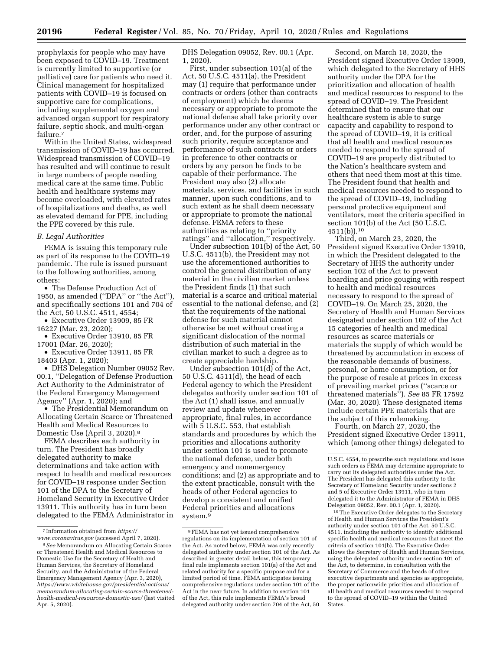prophylaxis for people who may have been exposed to COVID–19. Treatment is currently limited to supportive (or palliative) care for patients who need it. Clinical management for hospitalized patients with COVID–19 is focused on supportive care for complications, including supplemental oxygen and advanced organ support for respiratory failure, septic shock, and multi-organ failure.7

Within the United States, widespread transmission of COVID–19 has occurred. Widespread transmission of COVID–19 has resulted and will continue to result in large numbers of people needing medical care at the same time. Public health and healthcare systems may become overloaded, with elevated rates of hospitalizations and deaths, as well as elevated demand for PPE, including the PPE covered by this rule.

## *B. Legal Authorities*

FEMA is issuing this temporary rule as part of its response to the COVID–19 pandemic. The rule is issued pursuant to the following authorities, among others:

• The Defense Production Act of 1950, as amended (''DPA'' or ''the Act''), and specifically sections 101 and 704 of the Act, 50 U.S.C. 4511, 4554;

• Executive Order 13909, 85 FR 16227 (Mar. 23, 2020);

• Executive Order 13910, 85 FR 17001 (Mar. 26, 2020);

• Executive Order 13911, 85 FR 18403 (Apr. 1, 2020);

• DHS Delegation Number 09052 Rev. 00.1, ''Delegation of Defense Production Act Authority to the Administrator of the Federal Emergency Management Agency'' (Apr. 1, 2020); and

• The Presidential Memorandum on Allocating Certain Scarce or Threatened Health and Medical Resources to Domestic Use (April 3, 2020).8

FEMA describes each authority in turn. The President has broadly delegated authority to make determinations and take action with respect to health and medical resources for COVID–19 response under Section 101 of the DPA to the Secretary of Homeland Security in Executive Order 13911. This authority has in turn been delegated to the FEMA Administrator in DHS Delegation 09052, Rev. 00.1 (Apr. 1, 2020).

First, under subsection 101(a) of the Act, 50 U.S.C. 4511(a), the President may (1) require that performance under contracts or orders (other than contracts of employment) which he deems necessary or appropriate to promote the national defense shall take priority over performance under any other contract or order, and, for the purpose of assuring such priority, require acceptance and performance of such contracts or orders in preference to other contracts or orders by any person he finds to be capable of their performance. The President may also (2) allocate materials, services, and facilities in such manner, upon such conditions, and to such extent as he shall deem necessary or appropriate to promote the national defense. FEMA refers to these authorities as relating to ''priority ratings'' and ''allocation,'' respectively.

Under subsection 101(b) of the Act, 50 U.S.C. 4511(b), the President may not use the aforementioned authorities to control the general distribution of any material in the civilian market unless the President finds (1) that such material is a scarce and critical material essential to the national defense, and (2) that the requirements of the national defense for such material cannot otherwise be met without creating a significant dislocation of the normal distribution of such material in the civilian market to such a degree as to create appreciable hardship.

Under subsection 101(d) of the Act, 50 U.S.C. 4511(d), the head of each Federal agency to which the President delegates authority under section 101 of the Act (1) shall issue, and annually review and update whenever appropriate, final rules, in accordance with 5 U.S.C. 553, that establish standards and procedures by which the priorities and allocations authority under section 101 is used to promote the national defense, under both emergency and nonemergency conditions; and (2) as appropriate and to the extent practicable, consult with the heads of other Federal agencies to develop a consistent and unified Federal priorities and allocations system.9

Second, on March 18, 2020, the President signed Executive Order 13909, which delegated to the Secretary of HHS authority under the DPA for the prioritization and allocation of health and medical resources to respond to the spread of COVID–19. The President determined that to ensure that our healthcare system is able to surge capacity and capability to respond to the spread of COVID–19, it is critical that all health and medical resources needed to respond to the spread of COVID–19 are properly distributed to the Nation's healthcare system and others that need them most at this time. The President found that health and medical resources needed to respond to the spread of COVID–19, including personal protective equipment and ventilators, meet the criteria specified in section 101(b) of the Act (50 U.S.C.  $4511(b)$ ).<sup>10</sup>

Third, on March 23, 2020, the President signed Executive Order 13910, in which the President delegated to the Secretary of HHS the authority under section 102 of the Act to prevent hoarding and price gouging with respect to health and medical resources necessary to respond to the spread of COVID–19. On March 25, 2020, the Secretary of Health and Human Services designated under section 102 of the Act 15 categories of health and medical resources as scarce materials or materials the supply of which would be threatened by accumulation in excess of the reasonable demands of business, personal, or home consumption, or for the purpose of resale at prices in excess of prevailing market prices (''scarce or threatened materials''). *See* 85 FR 17592 (Mar. 30, 2020). These designated items include certain PPE materials that are the subject of this rulemaking.

Fourth, on March 27, 2020, the President signed Executive Order 13911, which (among other things) delegated to

10The Executive Order delegates to the Secretary of Health and Human Services the President's authority under section 101 of the Act, 50 U.S.C. 4511, including the authority to identify additional specific health and medical resources that meet the criteria of section 101(b). The Executive Order allows the Secretary of Health and Human Services, using the delegated authority under section 101 of the Act, to determine, in consultation with the Secretary of Commerce and the heads of other executive departments and agencies as appropriate, the proper nationwide priorities and allocation of all health and medical resources needed to respond to the spread of COVID–19 within the United **States** 

<sup>7</sup> Information obtained from *[https://](https://www.coronavirus.gov) [www.coronavirus.gov](https://www.coronavirus.gov)* (accessed April 7, 2020).

<sup>8</sup>*See* Memorandum on Allocating Certain Scarce or Threatened Health and Medical Resources to Domestic Use for the Secretary of Health and Human Services, the Secretary of Homeland Security, and the Administrator of the Federal Emergency Management Agency (Apr. 3, 2020), *[https://www.whitehouse.gov/presidential-actions/](https://www.whitehouse.gov/presidential-actions/memorandum-allocating-certain-scarce-threatened-health-medical-resources-domestic-use/)  [memorandum-allocating-certain-scarce-threatened](https://www.whitehouse.gov/presidential-actions/memorandum-allocating-certain-scarce-threatened-health-medical-resources-domestic-use/)[health-medical-resources-domestic-use/](https://www.whitehouse.gov/presidential-actions/memorandum-allocating-certain-scarce-threatened-health-medical-resources-domestic-use/)* (last visited Apr. 5, 2020).

<sup>9</sup>FEMA has not yet issued comprehensive regulations on its implementation of section 101 of the Act. As noted below, FEMA was only recently delegated authority under section 101 of the Act. As described in greater detail below, this temporary final rule implements section 101(a) of the Act and related authority for a specific purpose and for a limited period of time. FEMA anticipates issuing comprehensive regulations under section 101 of the Act in the near future. In addition to section 101 of the Act, this rule implements FEMA's broad delegated authority under section 704 of the Act, 50

U.S.C. 4554, to prescribe such regulations and issue such orders as FEMA may determine appropriate to carry out its delegated authorities under the Act. The President has delegated this authority to the Secretary of Homeland Security under sections 2 and 5 of Executive Order 13911, who in turn delegated it to the Administrator of FEMA in DHS Delegation 09052, Rev. 00.1 (Apr. 1, 2020).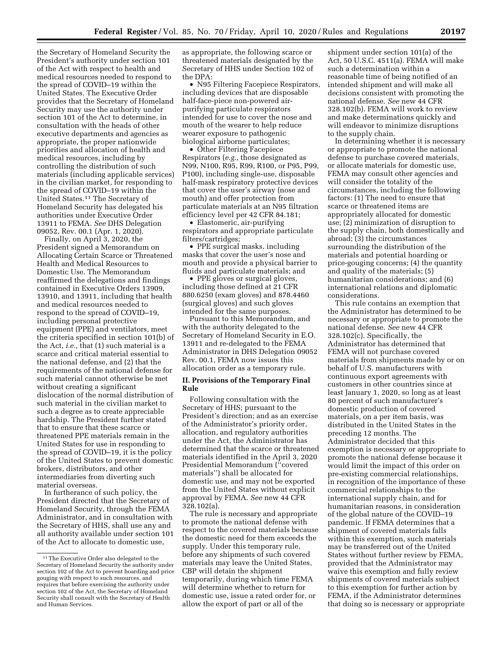the Secretary of Homeland Security the President's authority under section 101 of the Act with respect to health and medical resources needed to respond to the spread of COVID–19 within the United States. The Executive Order provides that the Secretary of Homeland Security may use the authority under section 101 of the Act to determine, in consultation with the heads of other executive departments and agencies as appropriate, the proper nationwide priorities and allocation of health and medical resources, including by

controlling the distribution of such materials (including applicable services) in the civilian market, for responding to the spread of COVID–19 within the United States.11 The Secretary of Homeland Security has delegated his authorities under Executive Order 13911 to FEMA. *See* DHS Delegation 09052, Rev. 00.1 (Apr. 1, 2020).

Finally, on April 3, 2020, the President signed a Memorandum on Allocating Certain Scarce or Threatened Health and Medical Resources to Domestic Use. The Memorandum reaffirmed the delegations and findings contained in Executive Orders 13909, 13910, and 13911, including that health and medical resources needed to respond to the spread of COVID–19, including personal protective equipment (PPE) and ventilators, meet the criteria specified in section 101(b) of the Act, *i.e.,* that (1) such material is a scarce and critical material essential to the national defense, and (2) that the requirements of the national defense for such material cannot otherwise be met without creating a significant dislocation of the normal distribution of such material in the civilian market to such a degree as to create appreciable hardship. The President further stated that to ensure that these scarce or threatened PPE materials remain in the United States for use in responding to the spread of COVID–19, it is the policy of the United States to prevent domestic brokers, distributors, and other intermediaries from diverting such material overseas.

In furtherance of such policy, the President directed that the Secretary of Homeland Security, through the FEMA Administrator, and in consultation with the Secretary of HHS, shall use any and all authority available under section 101 of the Act to allocate to domestic use,

as appropriate, the following scarce or threatened materials designated by the Secretary of HHS under Section 102 of the DPA:

• N95 Filtering Facepiece Respirators, including devices that are disposable half-face-piece non-powered airpurifying particulate respirators intended for use to cover the nose and mouth of the wearer to help reduce wearer exposure to pathogenic biological airborne particulates;

• Other Filtering Facepiece Respirators (*e.g.,* those designated as N99, N100, R95, R99, R100, or P95, P99, P100), including single-use, disposable half-mask respiratory protective devices that cover the user's airway (nose and mouth) and offer protection from particulate materials at an N95 filtration efficiency level per 42 CFR 84.181;

• Elastomeric, air-purifying respirators and appropriate particulate filters/cartridges;

• PPE surgical masks, including masks that cover the user's nose and mouth and provide a physical barrier to fluids and particulate materials; and

• PPE gloves or surgical gloves, including those defined at 21 CFR 880.6250 (exam gloves) and 878.4460 (surgical gloves) and such gloves intended for the same purposes.

Pursuant to this Memorandum, and with the authority delegated to the Secretary of Homeland Security in E.O. 13911 and re-delegated to the FEMA Administrator in DHS Delegation 09052 Rev. 00.1, FEMA now issues this allocation order as a temporary rule.

#### **II. Provisions of the Temporary Final Rule**

Following consultation with the Secretary of HHS; pursuant to the President's direction; and as an exercise of the Administrator's priority order, allocation, and regulatory authorities under the Act, the Administrator has determined that the scarce or threatened materials identified in the April 3, 2020 Presidential Memorandum (''covered materials'') shall be allocated for domestic use, and may not be exported from the United States without explicit approval by FEMA. *See* new 44 CFR 328.102(a).

The rule is necessary and appropriate to promote the national defense with respect to the covered materials because the domestic need for them exceeds the supply. Under this temporary rule, before any shipments of such covered materials may leave the United States, CBP will detain the shipment temporarily, during which time FEMA will determine whether to return for domestic use, issue a rated order for, or allow the export of part or all of the

shipment under section 101(a) of the Act, 50 U.S.C. 4511(a). FEMA will make such a determination within a reasonable time of being notified of an intended shipment and will make all decisions consistent with promoting the national defense. *See* new 44 CFR 328.102(b). FEMA will work to review and make determinations quickly and will endeavor to minimize disruptions to the supply chain.

In determining whether it is necessary or appropriate to promote the national defense to purchase covered materials, or allocate materials for domestic use, FEMA may consult other agencies and will consider the totality of the circumstances, including the following factors: (1) The need to ensure that scarce or threatened items are appropriately allocated for domestic use; (2) minimization of disruption to the supply chain, both domestically and abroad; (3) the circumstances surrounding the distribution of the materials and potential hoarding or price-gouging concerns; (4) the quantity and quality of the materials; (5) humanitarian considerations; and (6) international relations and diplomatic considerations.

This rule contains an exemption that the Administrator has determined to be necessary or appropriate to promote the national defense. *See* new 44 CFR 328.102(c). Specifically, the Administrator has determined that FEMA will not purchase covered materials from shipments made by or on behalf of U.S. manufacturers with continuous export agreements with customers in other countries since at least January 1, 2020, so long as at least 80 percent of such manufacturer's domestic production of covered materials, on a per item basis, was distributed in the United States in the preceding 12 months. The Administrator decided that this exemption is necessary or appropriate to promote the national defense because it would limit the impact of this order on pre-existing commercial relationships, in recognition of the importance of these commercial relationships to the international supply chain, and for humanitarian reasons, in consideration of the global nature of the COVID–19 pandemic. If FEMA determines that a shipment of covered materials falls within this exemption, such materials may be transferred out of the United States without further review by FEMA, provided that the Administrator may waive this exemption and fully review shipments of covered materials subject to this exemption for further action by FEMA, if the Administrator determines that doing so is necessary or appropriate

<sup>11</sup>The Executive Order also delegated to the Secretary of Homeland Security the authority under section 102 of the Act to prevent hoarding and price gouging with respect to such resources, and requires that before exercising the authority under section 102 of the Act, the Secretary of Homeland Security shall consult with the Secretary of Health and Human Services.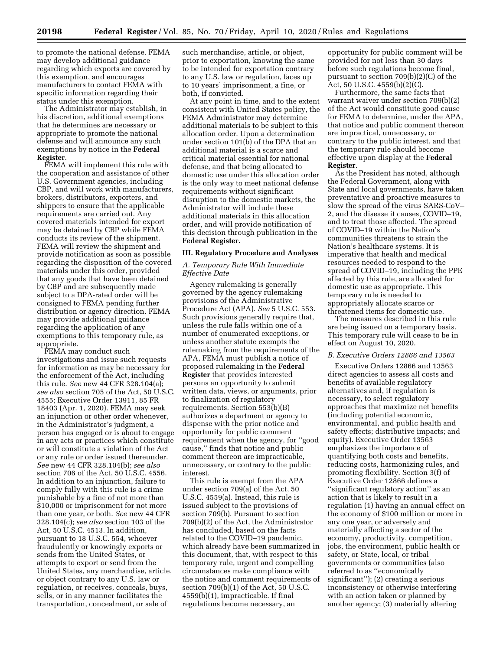to promote the national defense. FEMA may develop additional guidance regarding which exports are covered by this exemption, and encourages manufacturers to contact FEMA with specific information regarding their status under this exemption.

The Administrator may establish, in his discretion, additional exemptions that he determines are necessary or appropriate to promote the national defense and will announce any such exemptions by notice in the **Federal Register**.

FEMA will implement this rule with the cooperation and assistance of other U.S. Government agencies, including CBP, and will work with manufacturers, brokers, distributors, exporters, and shippers to ensure that the applicable requirements are carried out. Any covered materials intended for export may be detained by CBP while FEMA conducts its review of the shipment. FEMA will review the shipment and provide notification as soon as possible regarding the disposition of the covered materials under this order, provided that any goods that have been detained by CBP and are subsequently made subject to a DPA-rated order will be consigned to FEMA pending further distribution or agency direction. FEMA may provide additional guidance regarding the application of any exemptions to this temporary rule, as appropriate.

FEMA may conduct such investigations and issue such requests for information as may be necessary for the enforcement of the Act, including this rule. *See* new 44 CFR 328.104(a); *see also* section 705 of the Act, 50 U.S.C. 4555; Executive Order 13911, 85 FR 18403 (Apr. 1, 2020). FEMA may seek an injunction or other order whenever, in the Administrator's judgment, a person has engaged or is about to engage in any acts or practices which constitute or will constitute a violation of the Act or any rule or order issued thereunder. *See* new 44 CFR 328.104(b); *see also*  section 706 of the Act, 50 U.S.C. 4556. In addition to an injunction, failure to comply fully with this rule is a crime punishable by a fine of not more than \$10,000 or imprisonment for not more than one year, or both. *See* new 44 CFR 328.104(c); *see also* section 103 of the Act, 50 U.S.C. 4513. In addition, pursuant to 18 U.S.C. 554, whoever fraudulently or knowingly exports or sends from the United States, or attempts to export or send from the United States, any merchandise, article, or object contrary to any U.S. law or regulation, or receives, conceals, buys, sells, or in any manner facilitates the transportation, concealment, or sale of

such merchandise, article, or object, prior to exportation, knowing the same to be intended for exportation contrary to any U.S. law or regulation, faces up to 10 years' imprisonment, a fine, or both, if convicted.

At any point in time, and to the extent consistent with United States policy, the FEMA Administrator may determine additional materials to be subject to this allocation order. Upon a determination under section 101(b) of the DPA that an additional material is a scarce and critical material essential for national defense, and that being allocated to domestic use under this allocation order is the only way to meet national defense requirements without significant disruption to the domestic markets, the Administrator will include these additional materials in this allocation order, and will provide notification of this decision through publication in the **Federal Register.** 

## **III. Regulatory Procedure and Analyses**

# *A. Temporary Rule With Immediate Effective Date*

Agency rulemaking is generally governed by the agency rulemaking provisions of the Administrative Procedure Act (APA). *See* 5 U.S.C. 553. Such provisions generally require that, unless the rule falls within one of a number of enumerated exceptions, or unless another statute exempts the rulemaking from the requirements of the APA, FEMA must publish a notice of proposed rulemaking in the **Federal Register** that provides interested persons an opportunity to submit written data, views, or arguments, prior to finalization of regulatory requirements. Section 553(b)(B) authorizes a department or agency to dispense with the prior notice and opportunity for public comment requirement when the agency, for ''good cause,'' finds that notice and public comment thereon are impracticable, unnecessary, or contrary to the public interest.

This rule is exempt from the APA under section 709(a) of the Act, 50 U.S.C. 4559(a). Instead, this rule is issued subject to the provisions of section 709(b). Pursuant to section 709(b)(2) of the Act, the Administrator has concluded, based on the facts related to the COVID–19 pandemic, which already have been summarized in this document, that, with respect to this temporary rule, urgent and compelling circumstances make compliance with the notice and comment requirements of section 709(b)(1) of the Act, 50 U.S.C. 4559(b)(1), impracticable. If final regulations become necessary, an

opportunity for public comment will be provided for not less than 30 days before such regulations become final, pursuant to section 709(b)(2)(C) of the Act, 50 U.S.C. 4559(b)(2)(C).

Furthermore, the same facts that warrant waiver under section 709(b)(2) of the Act would constitute good cause for FEMA to determine, under the APA, that notice and public comment thereon are impractical, unnecessary, or contrary to the public interest, and that the temporary rule should become effective upon display at the **Federal Register**.

As the President has noted, although the Federal Government, along with State and local governments, have taken preventative and proactive measures to slow the spread of the virus SARS-CoV– 2, and the disease it causes, COVID–19, and to treat those affected. The spread of COVID–19 within the Nation's communities threatens to strain the Nation's healthcare systems. It is imperative that health and medical resources needed to respond to the spread of COVID–19, including the PPE affected by this rule, are allocated for domestic use as appropriate. This temporary rule is needed to appropriately allocate scarce or threatened items for domestic use.

The measures described in this rule are being issued on a temporary basis. This temporary rule will cease to be in effect on August 10, 2020.

#### *B. Executive Orders 12866 and 13563*

Executive Orders 12866 and 13563 direct agencies to assess all costs and benefits of available regulatory alternatives and, if regulation is necessary, to select regulatory approaches that maximize net benefits (including potential economic, environmental, and public health and safety effects; distributive impacts; and equity). Executive Order 13563 emphasizes the importance of quantifying both costs and benefits, reducing costs, harmonizing rules, and promoting flexibility. Section 3(f) of Executive Order 12866 defines a ''significant regulatory action'' as an action that is likely to result in a regulation (1) having an annual effect on the economy of \$100 million or more in any one year, or adversely and materially affecting a sector of the economy, productivity, competition, jobs, the environment, public health or safety, or State, local, or tribal governments or communities (also referred to as ''economically significant''); (2) creating a serious inconsistency or otherwise interfering with an action taken or planned by another agency; (3) materially altering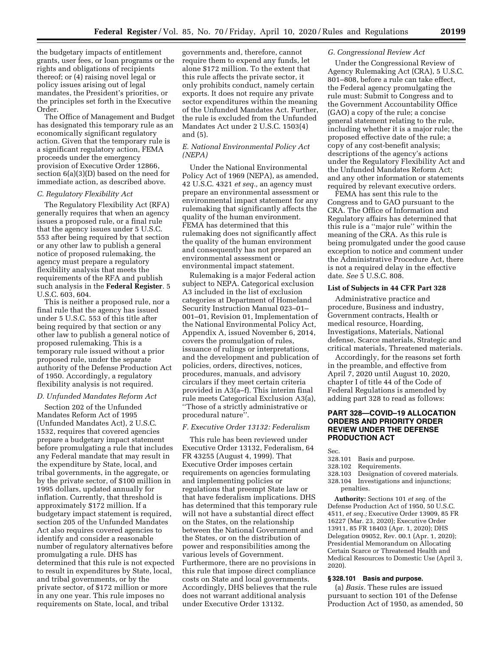the budgetary impacts of entitlement grants, user fees, or loan programs or the rights and obligations of recipients thereof; or (4) raising novel legal or policy issues arising out of legal mandates, the President's priorities, or the principles set forth in the Executive Order.

The Office of Management and Budget has designated this temporary rule as an economically significant regulatory action. Given that the temporary rule is a significant regulatory action, FEMA proceeds under the emergency provision of Executive Order 12866, section 6(a)(3)(D) based on the need for immediate action, as described above.

#### *C. Regulatory Flexibility Act*

The Regulatory Flexibility Act (RFA) generally requires that when an agency issues a proposed rule, or a final rule that the agency issues under 5 U.S.C. 553 after being required by that section or any other law to publish a general notice of proposed rulemaking, the agency must prepare a regulatory flexibility analysis that meets the requirements of the RFA and publish such analysis in the **Federal Register**. 5 U.S.C. 603, 604.

This is neither a proposed rule, nor a final rule that the agency has issued under 5 U.S.C. 553 of this title after being required by that section or any other law to publish a general notice of proposed rulemaking. This is a temporary rule issued without a prior proposed rule, under the separate authority of the Defense Production Act of 1950. Accordingly, a regulatory flexibility analysis is not required.

## *D. Unfunded Mandates Reform Act*

Section 202 of the Unfunded Mandates Reform Act of 1995 (Unfunded Mandates Act), 2 U.S.C. 1532, requires that covered agencies prepare a budgetary impact statement before promulgating a rule that includes any Federal mandate that may result in the expenditure by State, local, and tribal governments, in the aggregate, or by the private sector, of \$100 million in 1995 dollars, updated annually for inflation. Currently, that threshold is approximately \$172 million. If a budgetary impact statement is required, section 205 of the Unfunded Mandates Act also requires covered agencies to identify and consider a reasonable number of regulatory alternatives before promulgating a rule. DHS has determined that this rule is not expected to result in expenditures by State, local, and tribal governments, or by the private sector, of \$172 million or more in any one year. This rule imposes no requirements on State, local, and tribal

governments and, therefore, cannot require them to expend any funds, let alone \$172 million. To the extent that this rule affects the private sector, it only prohibits conduct, namely certain exports. It does not require any private sector expenditures within the meaning of the Unfunded Mandates Act. Further, the rule is excluded from the Unfunded Mandates Act under 2 U.S.C. 1503(4) and (5).

# *E. National Environmental Policy Act (NEPA)*

Under the National Environmental Policy Act of 1969 (NEPA), as amended, 42 U.S.C. 4321 *et seq.,* an agency must prepare an environmental assessment or environmental impact statement for any rulemaking that significantly affects the quality of the human environment. FEMA has determined that this rulemaking does not significantly affect the quality of the human environment and consequently has not prepared an environmental assessment or environmental impact statement.

Rulemaking is a major Federal action subject to NEPA. Categorical exclusion A3 included in the list of exclusion categories at Department of Homeland Security Instruction Manual 023–01– 001–01, Revision 01, Implementation of the National Environmental Policy Act, Appendix A, issued November 6, 2014, covers the promulgation of rules, issuance of rulings or interpretations, and the development and publication of policies, orders, directives, notices, procedures, manuals, and advisory circulars if they meet certain criteria provided in A3(a–f). This interim final rule meets Categorical Exclusion A3(a), ''Those of a strictly administrative or procedural nature''.

#### *F. Executive Order 13132: Federalism*

This rule has been reviewed under Executive Order 13132, Federalism, 64 FR 43255 (August 4, 1999). That Executive Order imposes certain requirements on agencies formulating and implementing policies or regulations that preempt State law or that have federalism implications. DHS has determined that this temporary rule will not have a substantial direct effect on the States, on the relationship between the National Government and the States, or on the distribution of power and responsibilities among the various levels of Government. Furthermore, there are no provisions in this rule that impose direct compliance costs on State and local governments. Accordingly, DHS believes that the rule does not warrant additional analysis under Executive Order 13132.

#### *G. Congressional Review Act*

Under the Congressional Review of Agency Rulemaking Act (CRA), 5 U.S.C. 801–808, before a rule can take effect, the Federal agency promulgating the rule must: Submit to Congress and to the Government Accountability Office (GAO) a copy of the rule; a concise general statement relating to the rule, including whether it is a major rule; the proposed effective date of the rule; a copy of any cost-benefit analysis; descriptions of the agency's actions under the Regulatory Flexibility Act and the Unfunded Mandates Reform Act; and any other information or statements required by relevant executive orders.

FEMA has sent this rule to the Congress and to GAO pursuant to the CRA. The Office of Information and Regulatory affairs has determined that this rule is a ''major rule'' within the meaning of the CRA. As this rule is being promulgated under the good cause exception to notice and comment under the Administrative Procedure Act, there is not a required delay in the effective date. *See* 5 U.S.C. 808.

#### **List of Subjects in 44 CFR Part 328**

Administrative practice and procedure, Business and industry, Government contracts, Health or medical resource, Hoarding, Investigations, Materials, National defense, Scarce materials, Strategic and critical materials, Threatened materials.

Accordingly, for the reasons set forth in the preamble, and effective from April 7, 2020 until August 10, 2020, chapter I of title 44 of the Code of Federal Regulations is amended by adding part 328 to read as follows:

## **PART 328—COVID–19 ALLOCATION ORDERS AND PRIORITY ORDER REVIEW UNDER THE DEFENSE PRODUCTION ACT**

- Sec.<br>328.101 Basis and purpose.
- 328.102 Requirements.
- 328.103 Designation of covered materials.
- 328.104 Investigations and injunctions;
	- penalties.

**Authority:** Sections 101 *et seq.* of the Defense Production Act of 1950, 50 U.S.C. 4511, *et seq.;* Executive Order 13909, 85 FR 16227 (Mar. 23, 2020); Executive Order 13911, 85 FR 18403 (Apr. 1, 2020); DHS Delegation 09052, Rev. 00.1 (Apr. 1, 2020); Presidential Memorandum on Allocating Certain Scarce or Threatened Health and Medical Resources to Domestic Use (April 3, 2020).

# **§ 328.101 Basis and purpose.**

(a) *Basis.* These rules are issued pursuant to section 101 of the Defense Production Act of 1950, as amended, 50